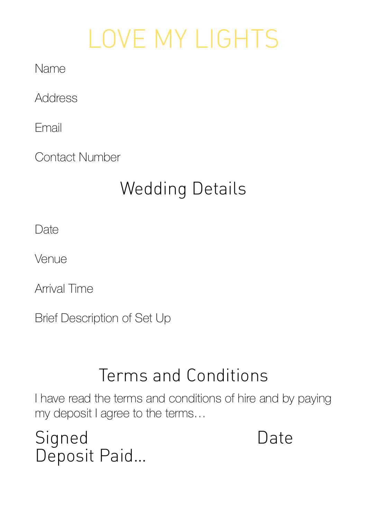# LOVE MY LIGHTS

#### Name

Address

Email

Contact Number

### Wedding Details

Date

Venue

Arrival Time

Brief Description of Set Up

#### Terms and Conditions

I have read the terms and conditions of hire and by paying my deposit I agree to the terms…

Signed Date Deposit Paid…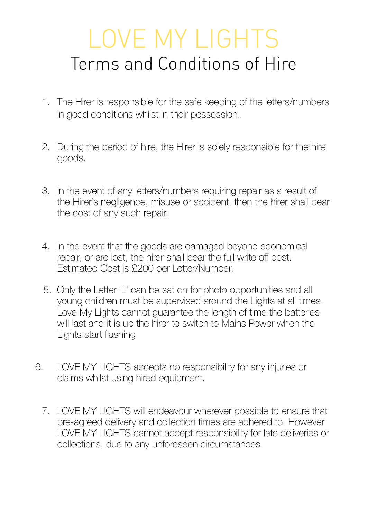## LOVE MY LIGHTS Terms and Conditions of Hire

- 1. The Hirer is responsible for the safe keeping of the letters/numbers in good conditions whilst in their possession.
- 2. During the period of hire, the Hirer is solely responsible for the hire goods.
- 3. In the event of any letters/numbers requiring repair as a result of the Hirer's negligence, misuse or accident, then the hirer shall bear the cost of any such repair.
- 4. In the event that the goods are damaged beyond economical repair, or are lost, the hirer shall bear the full write off cost. Estimated Cost is £200 per Letter/Number.
- 5. Only the Letter 'L' can be sat on for photo opportunities and all young children must be supervised around the Lights at all times. Love My Lights cannot guarantee the length of time the batteries will last and it is up the hirer to switch to Mains Power when the Lights start flashing.
- 6. LOVE MY LIGHTS accepts no responsibility for any injuries or claims whilst using hired equipment.
	- 7. LOVE MY LIGHTS will endeavour wherever possible to ensure that pre-agreed delivery and collection times are adhered to. However LOVE MY LIGHTS cannot accept responsibility for late deliveries or collections, due to any unforeseen circumstances.